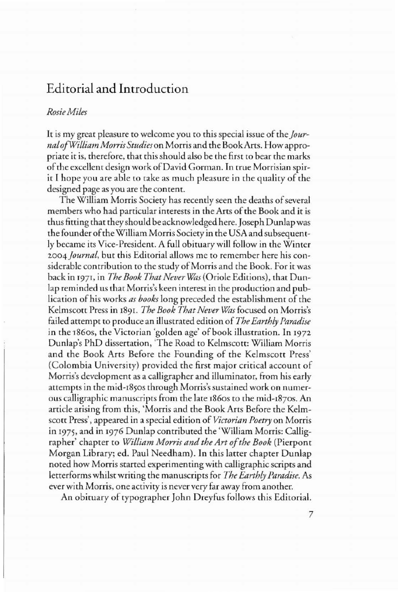## Editorial and Introduction

## *RosieMiles*

It is my great pleasure to welcome you to this special issue of the *JournalofWiLliamMorrisStudies* on Morris and the BookArts. Howappropriate it is, therefore, that this should also be the first to bear the marks ofthe excellent design work ofDavid Corman. In true Morrisian spirit I hope you are able to take as much pleasure in the quality of the designed page as you are the content.

The William Morris Society has recently seen the deaths of several members who had particular interests in the Arts of the Book and it is thus fitting that they should be acknowledged here. Joseph Dunlapwas the founder of the William Morris Society in the USA and subsequently became its Vice-President. A full obituary will follow in the Winter *2oo4Journal,* but this Editorial allows me to remember here his considerable contribution to the study of Morris and the Book. For it was back in 1971, in *The Book That Never was* (Oriole Editions), that Dunlap reminded us that Morris's keen interest in the production and publication of his works *as books* long preceded the establishment of the Kelmscorr Press in 1891. *The Book That Never was* focused on Morris's failed attempt to produce an illustrated edition of *The Earthly Paradise* in the 1860s, the Victorian 'golden age' of book illustration. In 1972 Dunlap's PhD dissertation, 'The Road to Kelmscorr: William Morris and the Book Arts Before the Founding of the Kelmscott Press' (Colombia University) provided the first major critical account of Morris's development as a calligrapher and illuminator, from his early attempts in the mid-1850S through Morris's sustained work on numerous calligraphic manuscripts from the late 1860s to the mid-1870s. An article arising from this, 'Morris and the Book Arts Before the Kelmscott Press', appeared in a special edition of *Victorian Poetry* on Morris in 1975, and in 1976 Dunlap contributed the 'William Morris: Calligrapher' chapter to *William Morris and the Art of the Book* (Pierpont Morgan Library; ed. Paul Needham). In this latter chapter Dunlap noted how Morris started experimenting with calligraphic scripts and letterforms whilst writing the manuscripts for *The Earthly Paradise.* As ever with Morris, one activity is never very far away from another.

An obituary of typographer John Dreyfus follows this Editorial.

7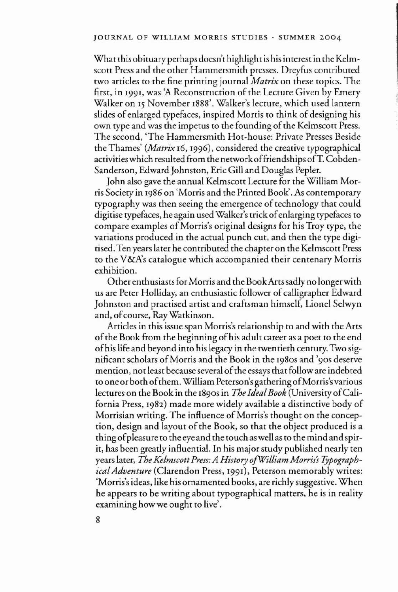What this obituary perhaps doesn't highlight is his interest in the Kelmscott Press and the other Hammersmith presses. Dreyfus contributed two articles to the fine printing journal *Matrix* on these topics. The first, in 1991, was 'A Reconstruction of the Lecture Given by Emery Walker on 15 November 1888'. Walker's lecture, which used lantern slides of enlarged typefaces, inspired Morris to think of designing his own type and was the impetus to the founding of the Kelmscott Press. The second, 'The Hammersmith Hot-house: Private Presses Beside the Thames' *(Matrix* 16,1996), considered the creative typographical activitieswhich resulted from the networkoffriendships ofT. Cobden-Sanderson, Edward Johnston, Eric Gill and Douglas Pepler.

John also gave the annual Kelmscott Lecture for the WiIliam Morris Society in 1986 on 'Morris and the Printed Book'. As contemporary typography was then seeing the emergence of technology that could digitise typefaces, he again used Walker's trick ofenlarging typefaces to compare examples of Morris's original designs for his Troy type, the variations produced in the actual punch cut, and then the type digitised. Ten years later he contributed the chapter on the Kelmscott Press to the V&A's catalogue which accompanied their centenary Morris exhibition.

Other enthusiastsfor Morris and the BookArtssadly no longerwith us are Peter Holliday, an enthusiastic follower of calligrapher Edward Johnston and practised artist and craftsman himself, Lionel Selwyn and, of course, Ray Watkinson.

Articles in this issue span Morris's relationship to and with the Arts of the Book from the beginning of his adult career as a poet to the end ofhis life and beyond into his legacy in the twentieth century. Two significant scholars of Morris and the Book in the 1980s and '90s deserve mention, not least because several ofthe essays that follow are indebted to one or both of them. William Peterson's gathering of Morris's various lectures on the Book in the 1890S in *The IdealBook* (University ofCalifornia Press, 1982) made more widely available a distinctive body of Morrisian writing. The influence of Morris's thought on the conception, design and layout of the Book, so that the object produced is a rhing ofpleasure to the eye and the touch as well as to the mind and spirit, has been greatly influential. In his major study published nearly ten years later, *The KelmscottPress: A History ojWilliam Morris's TypographicalAdventure* (Clarendon Press, 1991), Peterson memorably writes: 'Morris's ideas, like his ornamented books, are richly suggestive. When he appears to be writing about typographical matters, he is in reality examining how we ought to live'.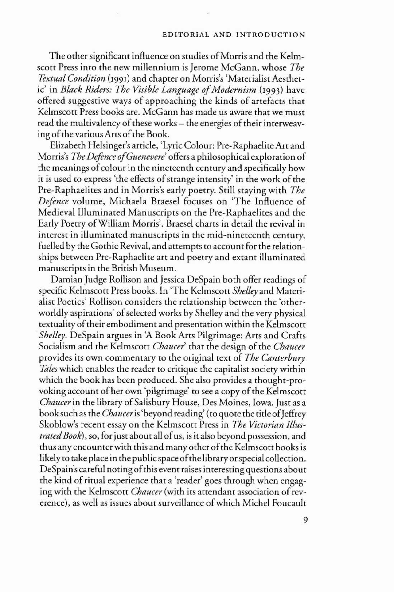## EDITORIAL AND INTRODUCTION

The other significant influence on studies of Morris and the Kelmscott Press into the new millennium is Jerome McGann, whose *The Textual Condition* (1991) and chapter on Morris's 'Materialist Aesthetic' in *Black Riders: The Visible Language ofModernism* (1993) have offered suggestive ways of approaching the kinds of artefacts that Kelmscott Press books are. McGann has made us aware that we must read the multivalency of these works – the energies of their interweaving of the various Arts of the Book.

Elizabeth Helsinger's article, 'Lyric Colour: Pre-Raphaelite Art and Morris's *The Defence ofGuenevere'* offers a philosophical exploration of the meanings of colour in the nineteenth century and specifically how it is used to express 'the effects of strange intensity' in the work of the Pre-Raphaelites and in Morris's early poetry. Still staying with *The Defence* volume, Michaela Braesel focuses on 'The Influence of Medieval Illuminated Manuscripts on the Pre-Raphaelites and the Early Poetry ofWilliam Morris'. Braesel charts in detail the revival in interest in illuminated manuscripts in the mid-nineteenth century, fuelled by the Gothic Revival, and attempts to account for the relationships between Pre-Raphaelite art and poetry and extant illuminated manuscripts in the British Museum.

Damian Judge Rollison and Jessica DeSpain both offer readings of specific Kelmscott Press books. In 'The Kelmscott *Shelley* and Materialist Poetics' Rollison considers the relationship between the 'otherworldly aspirations' of selected works by Shelley and the very physical textuality of their embodiment and presentation within the Kelmscott *Shelley.* DeSpain argues in 'A Book Arts Pilgrimage: Arts and Crafts Socialism and the Kelmscott *Chaucer*' that the design of the *Chaucer* provides its own commentary to the original text of *The Canterbury lilies* which enables the reader to critique the capitalist society within which the book has been produced. She also provides a thought-provoking account of her own 'pilgrimage' to see a copy of the Kelmscott *Chaucer* in the library of Salisbury House, Des Moines, Iowa. Just as a booksuch as the *Chauceris* 'beyond reading' (to quote the title of]effrey Skoblow's recent essay on the Kelmscott Press in *The Victorian lllustratedBook), so,* for just abourall ofus, is it also beyond possession, and thus any encounter with this and many other ofthe Kelmscott books is likely to take place in the public space of the library or special collection. DeSpain's careful noting ofthis event raises interesting questions about the kind of ritual experience that a 'reader' goes through when engaging with the Kelmscott *Chaucer* (with its attendant association of reverence), as well as issues about surveillance of which Michel Foucault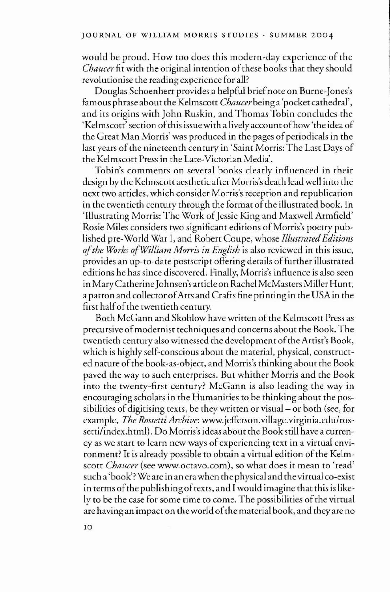would be proud. How too does this modern-day experience of the *Chaucer* fit with the original intention of these books that they should revolutionise the reading experience for all?

Douglas Schoenherr provides a helpful brief note on Burne-Jones's famous phrase about the Kelmscott *Chaucer* being a 'pocket cathedral', and its origins with John Ruskin, and Thomas Tobin concludes the 'Kelmscott' section ofthis issue with a lively account ofhow 'the idea of the Great Man Morris' was produced in the pages of periodicals in the last years of the nineteenth century in 'Saint Morris: The Last Days of the Kelmscott Press in the Late-Victorian Media'.

Tobin's comments on several books clearly influenced in their design by the Kelmscott aesthetic after Morris's death lead well into the next two articles, which consider Morris's reception and republication in the twentieth century through the format of the illustrated book. In 'Illustrating Morris: The Work of Jessie King and Maxwell Armfield' Rosie Miles considers two significant editions of Morris's poetry published pre-World War I, and Robert Coupe, whose *Illustrated Editions ofthe Works ofWilliam Morris in English* is also reviewed in this issue, provides an up-to-date postscript offering details of further illustrated editions he has since discovered. Finally, Morris's influence is also seen in Mary Catherine Johnsen's article on Rachel McMasters Miller Hunt, a patron and collector ofArts and Crafts fine printing in the USA in the first half of the twentieth century.

Both McGann and Skoblow have written of the Kelmscott Press as precursive ofmodernist techniques and concerns about the Book. The twentieth century also witnessed the development of the Artist's Book, which is highly self-conscious about the material, physical, constructed nature ofthe book-as-object, and Morris's thinking about the Book paved the way to such enterprises. But whither Morris and the Book into the twenty-first century? McGann is also leading the way in encouraging scholars in the Humanities to be thinking about the possibilities of digitising texts, be they written or visual – or both (see, for example, *The Rossetti Archive:* www.jefferson.village.virginia.edulrossetti/index.html). Do Morris's ideas about the Book still have a currency as we start to learn new ways of experiencing text in a virtual environment? It is already possible to obtain a virtual edition of the Kelmscott *Chaucer* (see www.octavo.com). so what does it mean to 'read' such a 'book'? We are in an erawhen the physical and the virtual co-exist in terms of the publishing of texts, and I would imagine that this is likely to be the case for some time to come. The possibilities of the virtual are having an impact on the world of the material book, and they are no